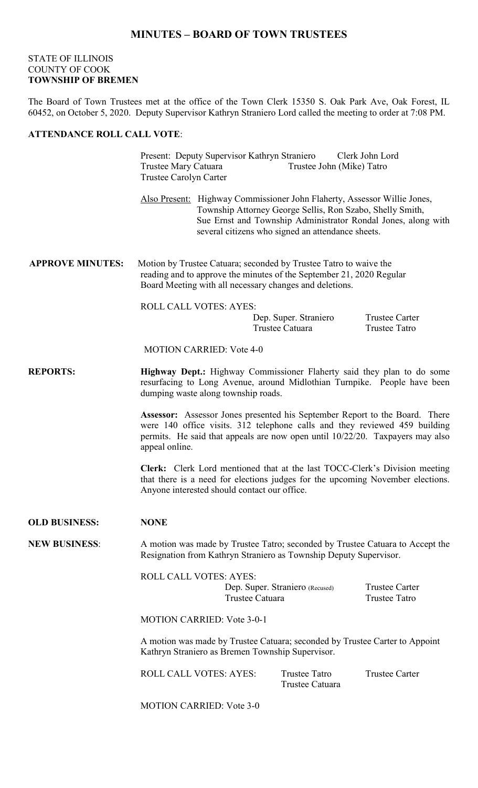## **MINUTES – BOARD OF TOWN TRUSTEES**

## STATE OF ILLINOIS COUNTY OF COOK **TOWNSHIP OF BREMEN**

The Board of Town Trustees met at the office of the Town Clerk 15350 S. Oak Park Ave, Oak Forest, IL 60452, on October 5, 2020. Deputy Supervisor Kathryn Straniero Lord called the meeting to order at 7:08 PM.

## **ATTENDANCE ROLL CALL VOTE**:

|                         | Present: Deputy Supervisor Kathryn Straniero<br>Clerk John Lord<br>Trustee Mary Catuara<br>Trustee John (Mike) Tatro<br>Trustee Carolyn Carter                                                                                                                      |  |                                               |                                               |  |
|-------------------------|---------------------------------------------------------------------------------------------------------------------------------------------------------------------------------------------------------------------------------------------------------------------|--|-----------------------------------------------|-----------------------------------------------|--|
|                         | Also Present: Highway Commissioner John Flaherty, Assessor Willie Jones,<br>Township Attorney George Sellis, Ron Szabo, Shelly Smith,<br>Sue Ernst and Township Administrator Rondal Jones, along with<br>several citizens who signed an attendance sheets.         |  |                                               |                                               |  |
| <b>APPROVE MINUTES:</b> | Motion by Trustee Catuara; seconded by Trustee Tatro to waive the<br>reading and to approve the minutes of the September 21, 2020 Regular<br>Board Meeting with all necessary changes and deletions.                                                                |  |                                               |                                               |  |
|                         | <b>ROLL CALL VOTES: AYES:</b>                                                                                                                                                                                                                                       |  | Dep. Super. Straniero<br>Trustee Catuara      | <b>Trustee Carter</b><br><b>Trustee Tatro</b> |  |
|                         | <b>MOTION CARRIED: Vote 4-0</b>                                                                                                                                                                                                                                     |  |                                               |                                               |  |
| <b>REPORTS:</b>         | Highway Dept.: Highway Commissioner Flaherty said they plan to do some<br>resurfacing to Long Avenue, around Midlothian Turnpike. People have been<br>dumping waste along township roads.                                                                           |  |                                               |                                               |  |
|                         | <b>Assessor:</b> Assessor Jones presented his September Report to the Board. There<br>were 140 office visits. 312 telephone calls and they reviewed 459 building<br>permits. He said that appeals are now open until 10/22/20. Taxpayers may also<br>appeal online. |  |                                               |                                               |  |
|                         | Clerk: Clerk Lord mentioned that at the last TOCC-Clerk's Division meeting<br>that there is a need for elections judges for the upcoming November elections.<br>Anyone interested should contact our office.                                                        |  |                                               |                                               |  |
| <b>OLD BUSINESS:</b>    | <b>NONE</b>                                                                                                                                                                                                                                                         |  |                                               |                                               |  |
| <b>NEW BUSINESS:</b>    | A motion was made by Trustee Tatro; seconded by Trustee Catuara to Accept the<br>Resignation from Kathryn Straniero as Township Deputy Supervisor.                                                                                                                  |  |                                               |                                               |  |
|                         | <b>ROLL CALL VOTES: AYES:</b><br>Dep. Super. Straniero (Recused)<br>Trustee Catuara                                                                                                                                                                                 |  | <b>Trustee Carter</b><br><b>Trustee Tatro</b> |                                               |  |
|                         | <b>MOTION CARRIED: Vote 3-0-1</b>                                                                                                                                                                                                                                   |  |                                               |                                               |  |
|                         | A motion was made by Trustee Catuara; seconded by Trustee Carter to Appoint<br>Kathryn Straniero as Bremen Township Supervisor.                                                                                                                                     |  |                                               |                                               |  |
|                         | <b>ROLL CALL VOTES: AYES:</b>                                                                                                                                                                                                                                       |  | <b>Trustee Tatro</b><br>Trustee Catuara       | <b>Trustee Carter</b>                         |  |
|                         | MOTION CARRIED: $V_{\alpha t}$ 3.0                                                                                                                                                                                                                                  |  |                                               |                                               |  |

MOTION CARRIED: Vote 3-0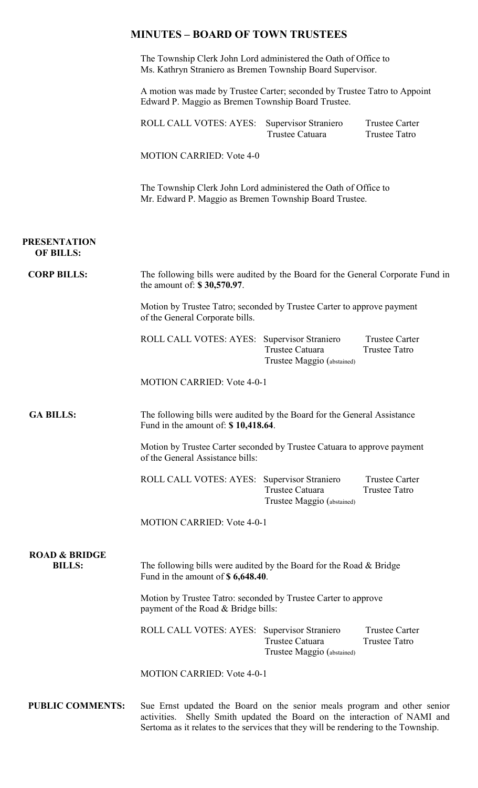|                                           | The Township Clerk John Lord administered the Oath of Office to<br>Ms. Kathryn Straniero as Bremen Township Board Supervisor.   |                                               |                                               |  |  |
|-------------------------------------------|---------------------------------------------------------------------------------------------------------------------------------|-----------------------------------------------|-----------------------------------------------|--|--|
|                                           | A motion was made by Trustee Carter; seconded by Trustee Tatro to Appoint<br>Edward P. Maggio as Bremen Township Board Trustee. |                                               |                                               |  |  |
|                                           | ROLL CALL VOTES: AYES: Supervisor Straniero                                                                                     | Trustee Catuara                               | <b>Trustee Carter</b><br><b>Trustee Tatro</b> |  |  |
|                                           | <b>MOTION CARRIED: Vote 4-0</b>                                                                                                 |                                               |                                               |  |  |
|                                           | The Township Clerk John Lord administered the Oath of Office to<br>Mr. Edward P. Maggio as Bremen Township Board Trustee.       |                                               |                                               |  |  |
| <b>PRESENTATION</b><br><b>OF BILLS:</b>   |                                                                                                                                 |                                               |                                               |  |  |
| <b>CORP BILLS:</b>                        | The following bills were audited by the Board for the General Corporate Fund in<br>the amount of: \$30,570.97.                  |                                               |                                               |  |  |
|                                           | Motion by Trustee Tatro; seconded by Trustee Carter to approve payment<br>of the General Corporate bills.                       |                                               |                                               |  |  |
|                                           | ROLL CALL VOTES: AYES: Supervisor Straniero                                                                                     | Trustee Catuara<br>Trustee Maggio (abstained) | <b>Trustee Carter</b><br><b>Trustee Tatro</b> |  |  |
|                                           | <b>MOTION CARRIED: Vote 4-0-1</b>                                                                                               |                                               |                                               |  |  |
| <b>GA BILLS:</b>                          | The following bills were audited by the Board for the General Assistance<br>Fund in the amount of: \$10,418.64.                 |                                               |                                               |  |  |
|                                           | Motion by Trustee Carter seconded by Trustee Catuara to approve payment<br>of the General Assistance bills:                     |                                               |                                               |  |  |
|                                           | ROLL CALL VOTES: AYES: Supervisor Straniero                                                                                     | Trustee Catuara<br>Trustee Maggio (abstained) | <b>Trustee Carter</b><br><b>Trustee Tatro</b> |  |  |
|                                           | <b>MOTION CARRIED: Vote 4-0-1</b>                                                                                               |                                               |                                               |  |  |
| <b>ROAD &amp; BRIDGE</b><br><b>BILLS:</b> | The following bills were audited by the Board for the Road & Bridge<br>Fund in the amount of \$6,648.40.                        |                                               |                                               |  |  |
|                                           | Motion by Trustee Tatro: seconded by Trustee Carter to approve<br>payment of the Road & Bridge bills:                           |                                               |                                               |  |  |
|                                           | ROLL CALL VOTES: AYES: Supervisor Straniero                                                                                     | Trustee Catuara<br>Trustee Maggio (abstained) | <b>Trustee Carter</b><br><b>Trustee Tatro</b> |  |  |
|                                           |                                                                                                                                 |                                               |                                               |  |  |

Sertoma as it relates to the services that they will be rendering to the Township.